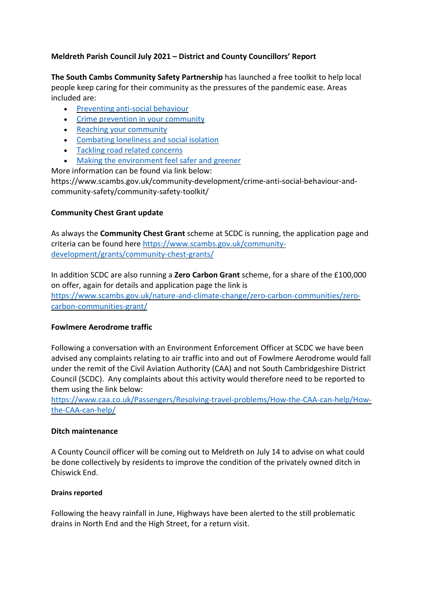# Meldreth Parish Council July 2021 – District and County Councillors' Report

The South Cambs Community Safety Partnership has launched a free toolkit to help local people keep caring for their community as the pressures of the pandemic ease. Areas included are:

- Preventing anti-social behaviour
- Crime prevention in your community
- Reaching your community
- Combating loneliness and social isolation
- Tackling road related concerns
- Making the environment feel safer and greener

More information can be found via link below:

https://www.scambs.gov.uk/community-development/crime-anti-social-behaviour-andcommunity-safety/community-safety-toolkit/

# Community Chest Grant update

As always the **Community Chest Grant** scheme at SCDC is running, the application page and criteria can be found here https://www.scambs.gov.uk/communitydevelopment/grants/community-chest-grants/

In addition SCDC are also running a **Zero Carbon Grant** scheme, for a share of the £100,000 on offer, again for details and application page the link is https://www.scambs.gov.uk/nature-and-climate-change/zero-carbon-communities/zerocarbon-communities-grant/

#### Fowlmere Aerodrome traffic

Following a conversation with an Environment Enforcement Officer at SCDC we have been advised any complaints relating to air traffic into and out of Fowlmere Aerodrome would fall under the remit of the Civil Aviation Authority (CAA) and not South Cambridgeshire District Council (SCDC). Any complaints about this activity would therefore need to be reported to them using the link below:

https://www.caa.co.uk/Passengers/Resolving-travel-problems/How-the-CAA-can-help/Howthe-CAA-can-help/

# Ditch maintenance

A County Council officer will be coming out to Meldreth on July 14 to advise on what could be done collectively by residents to improve the condition of the privately owned ditch in Chiswick End.

#### Drains reported

Following the heavy rainfall in June, Highways have been alerted to the still problematic drains in North End and the High Street, for a return visit.